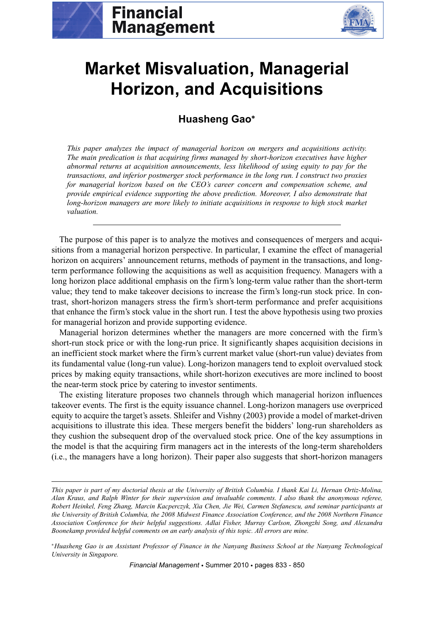



# **Market Misvaluation, Managerial Horizon, and Acquisitions**

## **Huasheng Gao<sup>∗</sup>**

*This paper analyzes the impact of managerial horizon on mergers and acquisitions activity. The main predication is that acquiring firms managed by short-horizon executives have higher abnormal returns at acquisition announcements, less likelihood of using equity to pay for the transactions, and inferior postmerger stock performance in the long run. I construct two proxies for managerial horizon based on the CEO's career concern and compensation scheme, and provide empirical evidence supporting the above prediction. Moreover, I also demonstrate that long-horizon managers are more likely to initiate acquisitions in response to high stock market valuation.*

The purpose of this paper is to analyze the motives and consequences of mergers and acquisitions from a managerial horizon perspective. In particular, I examine the effect of managerial horizon on acquirers' announcement returns, methods of payment in the transactions, and longterm performance following the acquisitions as well as acquisition frequency. Managers with a long horizon place additional emphasis on the firm's long-term value rather than the short-term value; they tend to make takeover decisions to increase the firm's long-run stock price. In contrast, short-horizon managers stress the firm's short-term performance and prefer acquisitions that enhance the firm's stock value in the short run. I test the above hypothesis using two proxies for managerial horizon and provide supporting evidence.

Managerial horizon determines whether the managers are more concerned with the firm's short-run stock price or with the long-run price. It significantly shapes acquisition decisions in an inefficient stock market where the firm's current market value (short-run value) deviates from its fundamental value (long-run value). Long-horizon managers tend to exploit overvalued stock prices by making equity transactions, while short-horizon executives are more inclined to boost the near-term stock price by catering to investor sentiments.

The existing literature proposes two channels through which managerial horizon influences takeover events. The first is the equity issuance channel. Long-horizon managers use overpriced equity to acquire the target's assets. Shleifer and Vishny (2003) provide a model of market-driven acquisitions to illustrate this idea. These mergers benefit the bidders' long-run shareholders as they cushion the subsequent drop of the overvalued stock price. One of the key assumptions in the model is that the acquiring firm managers act in the interests of the long-term shareholders (i.e., the managers have a long horizon). Their paper also suggests that short-horizon managers

<sup>∗</sup>*Huasheng Gao is an Assistant Professor of Finance in the Nanyang Business School at the Nanyang Technological University in Singapore.*

*Financial Management* • Summer 2010 • pages 833 - 850

*This paper is part of my doctorial thesis at the University of British Columbia. I thank Kai Li, Hernan Ortiz-Molina, Alan Kraus, and Ralph Winter for their supervision and invaluable comments. I also thank the anonymous referee, Robert Heinkel, Feng Zhang, Marcin Kacperczyk, Xia Chen, Jie Wei, Carmen Stefanescu, and seminar participants at the University of British Columbia, the 2008 Midwest Finance Association Conference, and the 2008 Northern Finance Association Conference for their helpful suggestions. Adlai Fisher, Murray Carlson, Zhongzhi Song, and Alexandra Boonekamp provided helpful comments on an early analysis of this topic. All errors are mine.*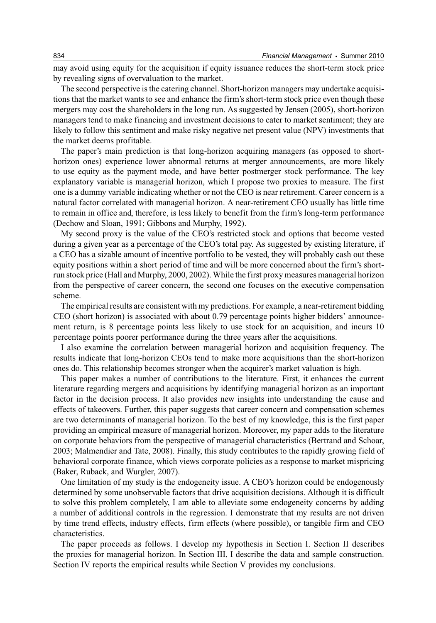may avoid using equity for the acquisition if equity issuance reduces the short-term stock price by revealing signs of overvaluation to the market.

The second perspective is the catering channel. Short-horizon managers may undertake acquisitions that the market wants to see and enhance the firm's short-term stock price even though these mergers may cost the shareholders in the long run. As suggested by Jensen (2005), short-horizon managers tend to make financing and investment decisions to cater to market sentiment; they are likely to follow this sentiment and make risky negative net present value (NPV) investments that the market deems profitable.

The paper's main prediction is that long-horizon acquiring managers (as opposed to shorthorizon ones) experience lower abnormal returns at merger announcements, are more likely to use equity as the payment mode, and have better postmerger stock performance. The key explanatory variable is managerial horizon, which I propose two proxies to measure. The first one is a dummy variable indicating whether or not the CEO is near retirement. Career concern is a natural factor correlated with managerial horizon. A near-retirement CEO usually has little time to remain in office and, therefore, is less likely to benefit from the firm's long-term performance (Dechow and Sloan, 1991; Gibbons and Murphy, 1992).

My second proxy is the value of the CEO's restricted stock and options that become vested during a given year as a percentage of the CEO's total pay. As suggested by existing literature, if a CEO has a sizable amount of incentive portfolio to be vested, they will probably cash out these equity positions within a short period of time and will be more concerned about the firm's shortrun stock price (Hall and Murphy, 2000, 2002). While the first proxy measures managerial horizon from the perspective of career concern, the second one focuses on the executive compensation scheme.

The empirical results are consistent with my predictions. For example, a near-retirement bidding CEO (short horizon) is associated with about 0.79 percentage points higher bidders' announcement return, is 8 percentage points less likely to use stock for an acquisition, and incurs 10 percentage points poorer performance during the three years after the acquisitions.

I also examine the correlation between managerial horizon and acquisition frequency. The results indicate that long-horizon CEOs tend to make more acquisitions than the short-horizon ones do. This relationship becomes stronger when the acquirer's market valuation is high.

This paper makes a number of contributions to the literature. First, it enhances the current literature regarding mergers and acquisitions by identifying managerial horizon as an important factor in the decision process. It also provides new insights into understanding the cause and effects of takeovers. Further, this paper suggests that career concern and compensation schemes are two determinants of managerial horizon. To the best of my knowledge, this is the first paper providing an empirical measure of managerial horizon. Moreover, my paper adds to the literature on corporate behaviors from the perspective of managerial characteristics (Bertrand and Schoar, 2003; Malmendier and Tate, 2008). Finally, this study contributes to the rapidly growing field of behavioral corporate finance, which views corporate policies as a response to market mispricing (Baker, Ruback, and Wurgler, 2007).

One limitation of my study is the endogeneity issue. A CEO's horizon could be endogenously determined by some unobservable factors that drive acquisition decisions. Although it is difficult to solve this problem completely, I am able to alleviate some endogeneity concerns by adding a number of additional controls in the regression. I demonstrate that my results are not driven by time trend effects, industry effects, firm effects (where possible), or tangible firm and CEO characteristics.

The paper proceeds as follows. I develop my hypothesis in Section I. Section II describes the proxies for managerial horizon. In Section III, I describe the data and sample construction. Section IV reports the empirical results while Section V provides my conclusions.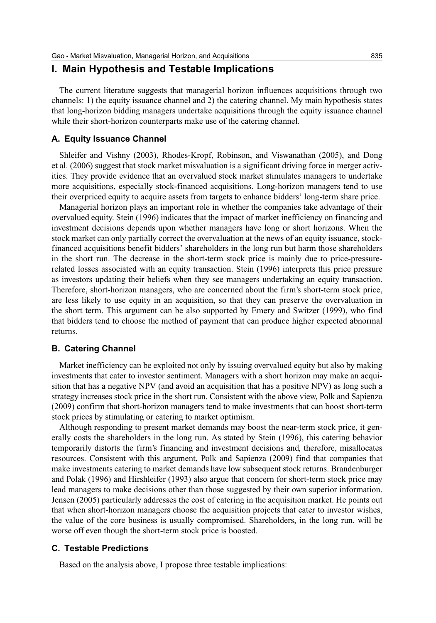## **I. Main Hypothesis and Testable Implications**

The current literature suggests that managerial horizon influences acquisitions through two channels: 1) the equity issuance channel and 2) the catering channel. My main hypothesis states that long-horizon bidding managers undertake acquisitions through the equity issuance channel while their short-horizon counterparts make use of the catering channel.

#### **A. Equity Issuance Channel**

Shleifer and Vishny (2003), Rhodes-Kropf, Robinson, and Viswanathan (2005), and Dong et al. (2006) suggest that stock market misvaluation is a significant driving force in merger activities. They provide evidence that an overvalued stock market stimulates managers to undertake more acquisitions, especially stock-financed acquisitions. Long-horizon managers tend to use their overpriced equity to acquire assets from targets to enhance bidders' long-term share price.

Managerial horizon plays an important role in whether the companies take advantage of their overvalued equity. Stein (1996) indicates that the impact of market inefficiency on financing and investment decisions depends upon whether managers have long or short horizons. When the stock market can only partially correct the overvaluation at the news of an equity issuance, stockfinanced acquisitions benefit bidders' shareholders in the long run but harm those shareholders in the short run. The decrease in the short-term stock price is mainly due to price-pressurerelated losses associated with an equity transaction. Stein (1996) interprets this price pressure as investors updating their beliefs when they see managers undertaking an equity transaction. Therefore, short-horizon managers, who are concerned about the firm's short-term stock price, are less likely to use equity in an acquisition, so that they can preserve the overvaluation in the short term. This argument can be also supported by Emery and Switzer (1999), who find that bidders tend to choose the method of payment that can produce higher expected abnormal returns.

#### **B. Catering Channel**

Market inefficiency can be exploited not only by issuing overvalued equity but also by making investments that cater to investor sentiment. Managers with a short horizon may make an acquisition that has a negative NPV (and avoid an acquisition that has a positive NPV) as long such a strategy increases stock price in the short run. Consistent with the above view, Polk and Sapienza (2009) confirm that short-horizon managers tend to make investments that can boost short-term stock prices by stimulating or catering to market optimism.

Although responding to present market demands may boost the near-term stock price, it generally costs the shareholders in the long run. As stated by Stein (1996), this catering behavior temporarily distorts the firm's financing and investment decisions and, therefore, misallocates resources. Consistent with this argument, Polk and Sapienza (2009) find that companies that make investments catering to market demands have low subsequent stock returns. Brandenburger and Polak (1996) and Hirshleifer (1993) also argue that concern for short-term stock price may lead managers to make decisions other than those suggested by their own superior information. Jensen (2005) particularly addresses the cost of catering in the acquisition market. He points out that when short-horizon managers choose the acquisition projects that cater to investor wishes, the value of the core business is usually compromised. Shareholders, in the long run, will be worse off even though the short-term stock price is boosted.

#### **C. Testable Predictions**

Based on the analysis above, I propose three testable implications: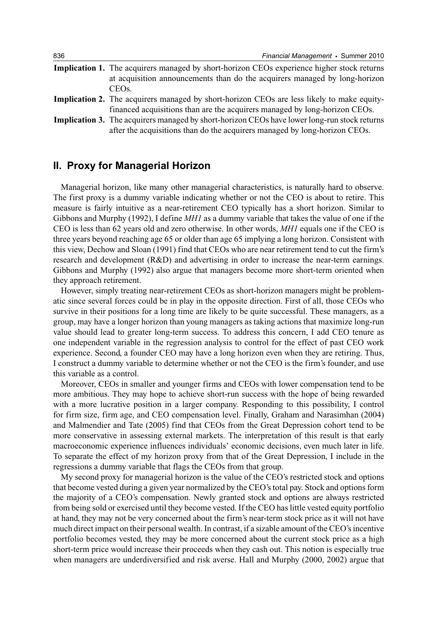| 836 | Financial Management • Summer 2010                                                                                                                                                                  |
|-----|-----------------------------------------------------------------------------------------------------------------------------------------------------------------------------------------------------|
|     | <b>Implication 1.</b> The acquirers managed by short-horizon CEOs experience higher stock returns<br>at acquisition announcements than do the acquirers managed by long-horizon<br>CEO <sub>s</sub> |
|     | <b>Implication 2.</b> The acquirers managed by short-horizon CEOs are less likely to make equity-<br>financed acquisitions than are the acquirers managed by long-horizon CEOs.                     |
|     | <b>Implication 3.</b> The acquirers managed by short-horizon CEOs have lower long-run stock returns<br>after the acquisitions than do the acquirers managed by long-horizon CEOs.                   |

## **II. Proxy for Managerial Horizon**

Managerial horizon, like many other managerial characteristics, is naturally hard to observe. The first proxy is a dummy variable indicating whether or not the CEO is about to retire. This measure is fairly intuitive as a near-retirement CEO typically has a short horizon. Similar to Gibbons and Murphy (1992), I define *MH1* as a dummy variable that takes the value of one if the CEO is less than 62 years old and zero otherwise. In other words, *MH1* equals one if the CEO is three years beyond reaching age 65 or older than age 65 implying a long horizon. Consistent with this view, Dechow and Sloan (1991) find that CEOs who are near retirement tend to cut the firm's research and development (R&D) and advertising in order to increase the near-term earnings. Gibbons and Murphy (1992) also argue that managers become more short-term oriented when they approach retirement.

However, simply treating near-retirement CEOs as short-horizon managers might be problematic since several forces could be in play in the opposite direction. First of all, those CEOs who survive in their positions for a long time are likely to be quite successful. These managers, as a group, may have a longer horizon than young managers as taking actions that maximize long-run value should lead to greater long-term success. To address this concern, I add CEO tenure as one independent variable in the regression analysis to control for the effect of past CEO work experience. Second, a founder CEO may have a long horizon even when they are retiring. Thus, I construct a dummy variable to determine whether or not the CEO is the firm's founder, and use this variable as a control.

Moreover, CEOs in smaller and younger firms and CEOs with lower compensation tend to be more ambitious. They may hope to achieve short-run success with the hope of being rewarded with a more lucrative position in a larger company. Responding to this possibility, I control for firm size, firm age, and CEO compensation level. Finally, Graham and Narasimhan (2004) and Malmendier and Tate (2005) find that CEOs from the Great Depression cohort tend to be more conservative in assessing external markets. The interpretation of this result is that early macroeconomic experience influences individuals' economic decisions, even much later in life. To separate the effect of my horizon proxy from that of the Great Depression, I include in the regressions a dummy variable that flags the CEOs from that group.

My second proxy for managerial horizon is the value of the CEO's restricted stock and options that become vested during a given year normalized by the CEO's total pay. Stock and options form the majority of a CEO's compensation. Newly granted stock and options are always restricted from being sold or exercised until they become vested. If the CEO has little vested equity portfolio at hand, they may not be very concerned about the firm's near-term stock price as it will not have much direct impact on their personal wealth. In contrast, if a sizable amount of the CEO's incentive portfolio becomes vested, they may be more concerned about the current stock price as a high short-term price would increase their proceeds when they cash out. This notion is especially true when managers are underdiversified and risk averse. Hall and Murphy (2000, 2002) argue that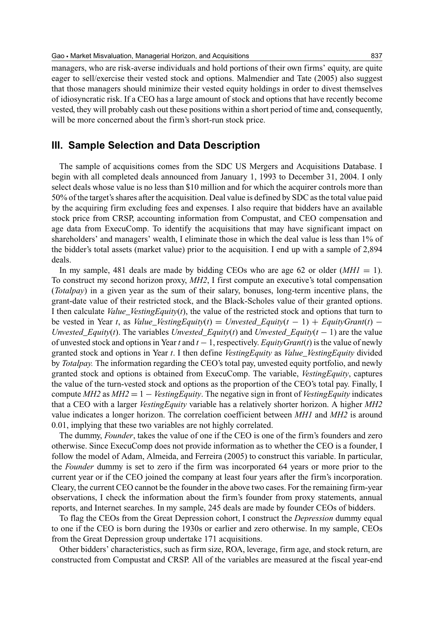managers, who are risk-averse individuals and hold portions of their own firms' equity, are quite eager to sell/exercise their vested stock and options. Malmendier and Tate (2005) also suggest that those managers should minimize their vested equity holdings in order to divest themselves of idiosyncratic risk. If a CEO has a large amount of stock and options that have recently become vested, they will probably cash out these positions within a short period of time and, consequently, will be more concerned about the firm's short-run stock price.

## **III. Sample Selection and Data Description**

The sample of acquisitions comes from the SDC US Mergers and Acquisitions Database. I begin with all completed deals announced from January 1, 1993 to December 31, 2004. I only select deals whose value is no less than \$10 million and for which the acquirer controls more than 50% of the target's shares after the acquisition. Deal value is defined by SDC as the total value paid by the acquiring firm excluding fees and expenses. I also require that bidders have an available stock price from CRSP, accounting information from Compustat, and CEO compensation and age data from ExecuComp. To identify the acquisitions that may have significant impact on shareholders' and managers' wealth, I eliminate those in which the deal value is less than 1% of the bidder's total assets (market value) prior to the acquisition. I end up with a sample of 2,894 deals.

In my sample, 481 deals are made by bidding CEOs who are age 62 or older  $(MHI = 1)$ . To construct my second horizon proxy, *MH2*, I first compute an executive's total compensation (*Totalpay*) in a given year as the sum of their salary, bonuses, long-term incentive plans, the grant-date value of their restricted stock, and the Black-Scholes value of their granted options. I then calculate *Value\_VestingEquity*(*t*), the value of the restricted stock and options that turn to be vested in Year *t*, as *Value\_VestingEquity*( $t$ ) = *Unvested\_Equity*( $t$  - 1) + *EquityGrant*( $t$ ) – *Unvested\_Equity*(*t*). The variables *Unvested\_Equity*(*t*) and *Unvested\_Equity*(*t* − 1) are the value of unvested stock and options in Year *t* and *t* − 1, respectively. *EquityGrant*(*t*) is the value of newly granted stock and options in Year *t*. I then define *VestingEquity* as *Value\_VestingEquity* divided by *Totalpay.* The information regarding the CEO's total pay, unvested equity portfolio, and newly granted stock and options is obtained from ExecuComp. The variable, *VestingEquity*, captures the value of the turn-vested stock and options as the proportion of the CEO's total pay. Finally, I compute *MH2* as *MH2* = 1 – *VestingEquity*. The negative sign in front of *VestingEquity* indicates that a CEO with a larger *VestingEquity* variable has a relatively shorter horizon. A higher *MH2* value indicates a longer horizon. The correlation coefficient between *MH1* and *MH2* is around 0.01, implying that these two variables are not highly correlated.

The dummy, *Founder*, takes the value of one if the CEO is one of the firm's founders and zero otherwise. Since ExecuComp does not provide information as to whether the CEO is a founder, I follow the model of Adam, Almeida, and Ferreira (2005) to construct this variable. In particular, the *Founder* dummy is set to zero if the firm was incorporated 64 years or more prior to the current year or if the CEO joined the company at least four years after the firm's incorporation. Cleary, the current CEO cannot be the founder in the above two cases. For the remaining firm-year observations, I check the information about the firm's founder from proxy statements, annual reports, and Internet searches. In my sample, 245 deals are made by founder CEOs of bidders.

To flag the CEOs from the Great Depression cohort, I construct the *Depression* dummy equal to one if the CEO is born during the 1930s or earlier and zero otherwise. In my sample, CEOs from the Great Depression group undertake 171 acquisitions.

Other bidders' characteristics, such as firm size, ROA, leverage, firm age, and stock return, are constructed from Compustat and CRSP. All of the variables are measured at the fiscal year-end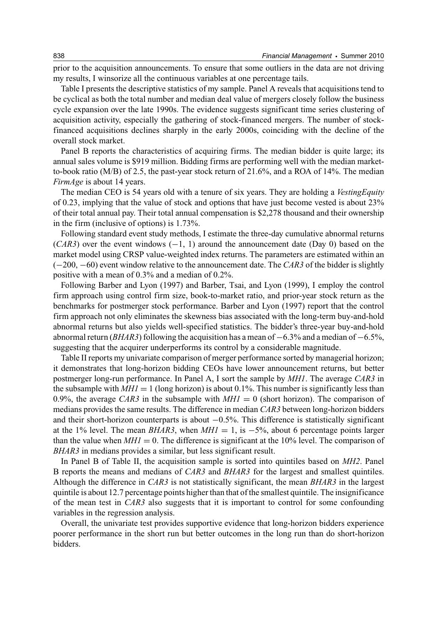prior to the acquisition announcements. To ensure that some outliers in the data are not driving my results, I winsorize all the continuous variables at one percentage tails.

Table I presents the descriptive statistics of my sample. Panel A reveals that acquisitions tend to be cyclical as both the total number and median deal value of mergers closely follow the business cycle expansion over the late 1990s. The evidence suggests significant time series clustering of acquisition activity, especially the gathering of stock-financed mergers. The number of stockfinanced acquisitions declines sharply in the early 2000s, coinciding with the decline of the overall stock market.

Panel B reports the characteristics of acquiring firms. The median bidder is quite large; its annual sales volume is \$919 million. Bidding firms are performing well with the median marketto-book ratio (M/B) of 2.5, the past-year stock return of 21.6%, and a ROA of 14%. The median *FirmAge* is about 14 years.

The median CEO is 54 years old with a tenure of six years. They are holding a *VestingEquity* of 0.23, implying that the value of stock and options that have just become vested is about 23% of their total annual pay. Their total annual compensation is \$2,278 thousand and their ownership in the firm (inclusive of options) is 1.73%.

Following standard event study methods, I estimate the three-day cumulative abnormal returns  $(CAR3)$  over the event windows  $(-1, 1)$  around the announcement date (Day 0) based on the market model using CRSP value-weighted index returns. The parameters are estimated within an (−200, −60) event window relative to the announcement date. The *CAR3* of the bidder is slightly positive with a mean of 0.3% and a median of 0.2%.

Following Barber and Lyon (1997) and Barber, Tsai, and Lyon (1999), I employ the control firm approach using control firm size, book-to-market ratio, and prior-year stock return as the benchmarks for postmerger stock performance. Barber and Lyon (1997) report that the control firm approach not only eliminates the skewness bias associated with the long-term buy-and-hold abnormal returns but also yields well-specified statistics. The bidder's three-year buy-and-hold abnormal return (*BHAR3*) following the acquisition has a mean of −6.3% and a median of −6.5%, suggesting that the acquirer underperforms its control by a considerable magnitude.

Table II reports my univariate comparison of merger performance sorted by managerial horizon; it demonstrates that long-horizon bidding CEOs have lower announcement returns, but better postmerger long-run performance. In Panel A, I sort the sample by *MH1*. The average *CAR3* in the subsample with  $MHI = 1$  (long horizon) is about 0.1%. This number is significantly less than 0.9%, the average *CAR3* in the subsample with  $MHI = 0$  (short horizon). The comparison of medians provides the same results. The difference in median *CAR3* between long-horizon bidders and their short-horizon counterparts is about −0.5%. This difference is statistically significant at the 1% level. The mean *BHAR3*, when  $MHI = 1$ , is  $-5\%$ , about 6 percentage points larger than the value when  $MHI = 0$ . The difference is significant at the 10% level. The comparison of *BHAR3* in medians provides a similar, but less significant result.

In Panel B of Table II, the acquisition sample is sorted into quintiles based on *MH2*. Panel B reports the means and medians of *CAR3* and *BHAR3* for the largest and smallest quintiles. Although the difference in *CAR3* is not statistically significant, the mean *BHAR3* in the largest quintile is about 12.7 percentage points higher than that of the smallest quintile. The insignificance of the mean test in *CAR3* also suggests that it is important to control for some confounding variables in the regression analysis.

Overall, the univariate test provides supportive evidence that long-horizon bidders experience poorer performance in the short run but better outcomes in the long run than do short-horizon bidders.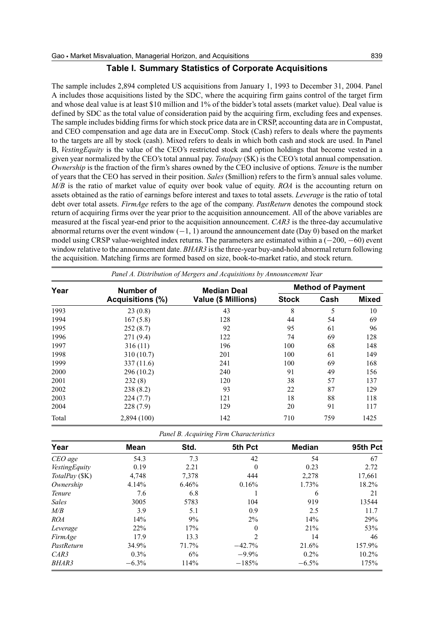#### **Table I. Summary Statistics of Corporate Acquisitions**

The sample includes 2,894 completed US acquisitions from January 1, 1993 to December 31, 2004. Panel A includes those acquisitions listed by the SDC, where the acquiring firm gains control of the target firm and whose deal value is at least \$10 million and 1% of the bidder's total assets (market value). Deal value is defined by SDC as the total value of consideration paid by the acquiring firm, excluding fees and expenses. The sample includes bidding firms for which stock price data are in CRSP, accounting data are in Compustat, and CEO compensation and age data are in ExecuComp. Stock (Cash) refers to deals where the payments to the targets are all by stock (cash). Mixed refers to deals in which both cash and stock are used. In Panel B, *VestingEquity* is the value of the CEO's restricted stock and option holdings that become vested in a given year normalized by the CEO's total annual pay. *Totalpay* (\$K) is the CEO's total annual compensation. *Ownership* is the fraction of the firm's shares owned by the CEO inclusive of options. *Tenure* is the number of years that the CEO has served in their position. *Sales* (\$million) refers to the firm's annual sales volume. *M/B* is the ratio of market value of equity over book value of equity. *ROA* is the accounting return on assets obtained as the ratio of earnings before interest and taxes to total assets. *Leverage* is the ratio of total debt over total assets. *FirmAge* refers to the age of the company. *PastReturn* denotes the compound stock return of acquiring firms over the year prior to the acquisition announcement. All of the above variables are measured at the fiscal year-end prior to the acquisition announcement. *CAR3* is the three-day accumulative abnormal returns over the event window (−1, 1) around the announcement date (Day 0) based on the market model using CRSP value-weighted index returns. The parameters are estimated within a (−200, −60) event window relative to the announcement date. *BHAR3* is the three-year buy-and-hold abnormal return following the acquisition. Matching firms are formed based on size, book-to-market ratio, and stock return.

| Panel A. Distribution of Mergers and Acquisitions by Announcement Year |                  |                                           |                          |      |              |  |  |  |
|------------------------------------------------------------------------|------------------|-------------------------------------------|--------------------------|------|--------------|--|--|--|
| Year                                                                   | Number of        | <b>Median Deal</b><br>Value (\$ Millions) | <b>Method of Payment</b> |      |              |  |  |  |
|                                                                        | Acquisitions (%) |                                           | <b>Stock</b>             | Cash | <b>Mixed</b> |  |  |  |
| 1993                                                                   | 23(0.8)          | 43                                        | 8                        | 5    | 10           |  |  |  |
| 1994                                                                   | 167(5.8)         | 128                                       | 44                       | 54   | 69           |  |  |  |
| 1995                                                                   | 252(8.7)         | 92                                        | 95                       | 61   | 96           |  |  |  |
| 1996                                                                   | 271 (9.4)        | 122                                       | 74                       | 69   | 128          |  |  |  |
| 1997                                                                   | 316(11)          | 196                                       | 100                      | 68   | 148          |  |  |  |
| 1998                                                                   | 310 (10.7)       | 201                                       | 100                      | 61   | 149          |  |  |  |
| 1999                                                                   | 337 (11.6)       | 241                                       | 100                      | 69   | 168          |  |  |  |
| 2000                                                                   | 296 (10.2)       | 240                                       | 91                       | 49   | 156          |  |  |  |
| 2001                                                                   | 232(8)           | 120                                       | 38                       | 57   | 137          |  |  |  |
| 2002                                                                   | 238(8.2)         | 93                                        | 22                       | 87   | 129          |  |  |  |
| 2003                                                                   | 224(7.7)         | 121                                       | 18                       | 88   | 118          |  |  |  |
| 2004                                                                   | 228(7.9)         | 129                                       | 20                       | 91   | 117          |  |  |  |
| Total                                                                  | 2,894 (100)      | 142                                       | 710                      | 759  | 1425         |  |  |  |

| Panel B. Acquiring Firm Characteristics |  |  |
|-----------------------------------------|--|--|
|-----------------------------------------|--|--|

| Year                 | Mean    | Std.  | 5th Pct        | Median  | 95th Pct |
|----------------------|---------|-------|----------------|---------|----------|
| CEO age              | 54.3    | 7.3   | 42             | 54      | 67       |
| <b>VestingEquity</b> | 0.19    | 2.21  | $\Omega$       | 0.23    | 2.72     |
| TotalPay (\$K)       | 4.748   | 7.378 | 444            | 2.278   | 17,661   |
| Ownership            | 4.14%   | 6.46% | 0.16%          | 1.73%   | 18.2%    |
| <b>Tenure</b>        | 7.6     | 6.8   |                | 6       | 21       |
| <b>Sales</b>         | 3005    | 5783  | 104            | 919     | 13544    |
| M/B                  | 3.9     | 5.1   | 0.9            | 2.5     | 11.7     |
| <b>ROA</b>           | 14%     | 9%    | $2\%$          | 14%     | 29%      |
| Leverage             | 22%     | 17%   | $\mathbf{0}$   | 21%     | 53%      |
| FirmAge              | 17.9    | 13.3  | $\overline{c}$ | 14      | 46       |
| PastReturn           | 34.9%   | 71.7% | $-42.7%$       | 21.6%   | 157.9%   |
| CAR3                 | $0.3\%$ | 6%    | $-9.9%$        | $0.2\%$ | $10.2\%$ |
| BHAR3                | $-6.3%$ | 114%  | $-185%$        | $-6.5%$ | 175%     |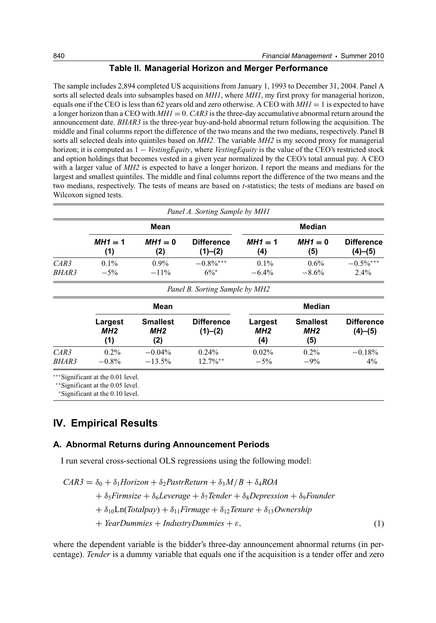#### **Table II. Managerial Horizon and Merger Performance**

The sample includes 2,894 completed US acquisitions from January 1, 1993 to December 31, 2004. Panel A sorts all selected deals into subsamples based on *MH1*, where *MH1*, my first proxy for managerial horizon, equals one if the CEO is less than 62 years old and zero otherwise. A CEO with  $MHI = 1$  is expected to have a longer horizon than a CEO with *MH1* = 0. *CAR3* is the three-day accumulative abnormal return around the announcement date. *BHAR3* is the three-year buy-and-hold abnormal return following the acquisition. The middle and final columns report the difference of the two means and the two medians, respectively. Panel B sorts all selected deals into quintiles based on *MH2*. The variable *MH2* is my second proxy for managerial horizon; it is computed as 1 − *VestingEquity*, where *VestingEquity* is the value of the CEO's restricted stock and option holdings that becomes vested in a given year normalized by the CEO's total annual pay. A CEO with a larger value of *MH2* is expected to have a longer horizon. I report the means and medians for the largest and smallest quintiles. The middle and final columns report the difference of the two means and the two medians, respectively. The tests of means are based on *t*-statistics; the tests of medians are based on Wilcoxon signed tests.

|       |           |           | Panel A. Sorting Sample by MH1 |           |           |                   |
|-------|-----------|-----------|--------------------------------|-----------|-----------|-------------------|
|       |           | Mean      |                                |           | Median    |                   |
|       | $MH1 = 1$ | $MH1 = 0$ | <b>Difference</b>              | $MH1 = 1$ | $MH1 = 0$ | <b>Difference</b> |
|       | (1)       | (2)       | (1)–(2)                        | (4)       | (5)       | (4)–(5)           |
| CAR3  | $0.1\%$   | $0.9\%$   | $-0.8\%$ ***                   | $0.1\%$   | $0.6\%$   | $-0.5\%$ ***      |
| BHAR3 | $-5%$     | $-11\%$   | $6\%^*$                        | $-6.4\%$  | $-8.6%$   | $2.4\%$           |

| Panel B. Sorting Sample by MH2 |                                   |                               |                              |                                   |                                           |                              |  |  |
|--------------------------------|-----------------------------------|-------------------------------|------------------------------|-----------------------------------|-------------------------------------------|------------------------------|--|--|
|                                |                                   | Mean                          |                              |                                   | Median                                    |                              |  |  |
|                                | Largest<br>MH <sub>2</sub><br>(1) | <b>Smallest</b><br>MH2<br>(2) | <b>Difference</b><br>(1)–(2) | Largest<br>MH <sub>2</sub><br>(4) | <b>Smallest</b><br>MH <sub>2</sub><br>(5) | <b>Difference</b><br>(4)–(5) |  |  |
| CAR3<br>BHAR3                  | $0.2\%$<br>$-0.8\%$               | $-0.04\%$<br>$-13.5%$         | $0.24\%$<br>$12.7\%$ **      | $0.02\%$<br>$-5%$                 | $0.2\%$<br>$-9\%$                         | $-0.18%$<br>4%               |  |  |

∗∗∗Significant at the 0.01 level.

∗∗Significant at the 0.05 level.

<sup>∗</sup>Significant at the 0.10 level.

## **IV. Empirical Results**

#### **A. Abnormal Returns during Announcement Periods**

I run several cross-sectional OLS regressions using the following model:

$$
CAR3 = \delta_0 + \delta_1 Horizon + \delta_2 PastrReturn + \delta_3 M/B + \delta_4 ROA
$$
  
+  $\delta_5 Firmsize + \delta_6 Leverage + \delta_7 Tender + \delta_8 Depression + \delta_9 Founder$   
+  $\delta_{10} Ln(Totalpay) + \delta_{11} Firmage + \delta_{12} Tenure + \delta_{13} Ownership$   
+  $YearDummies + IndustryDummies + \varepsilon,$  (1)

where the dependent variable is the bidder's three-day announcement abnormal returns (in percentage). *Tender* is a dummy variable that equals one if the acquisition is a tender offer and zero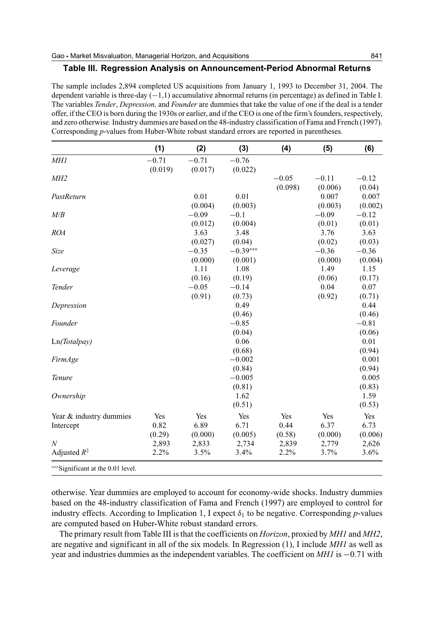#### **Table III. Regression Analysis on Announcement-Period Abnormal Returns**

The sample includes 2,894 completed US acquisitions from January 1, 1993 to December 31, 2004. The dependent variable is three-day (−1,1) accumulative abnormal returns (in percentage) as defined in Table I. The variables *Tender*, *Depression,* and *Founder* are dummies that take the value of one if the deal is a tender offer, if the CEO is born during the 1930s or earlier, and if the CEO is one of the firm's founders, respectively, and zero otherwise. Industry dummies are based on the 48-industry classification of Fama and French (1997). Corresponding *p*-values from Huber-White robust standard errors are reported in parentheses.

| (4)     | (5)             | (6)              |
|---------|-----------------|------------------|
|         |                 |                  |
|         |                 |                  |
| $-0.05$ | $-0.11$         | $-0.12$          |
| (0.098) | (0.006)         | (0.04)           |
|         | 0.007           | 0.007            |
|         | (0.003)         | (0.002)          |
|         | $-0.09$         | $-0.12$          |
|         | (0.01)          | (0.01)           |
|         | 3.76            | 3.63             |
|         | (0.02)          | (0.03)           |
|         | $-0.36$         | $-0.36$          |
|         | (0.000)         | (0.004)          |
|         | 1.49            | 1.15             |
|         | (0.06)          | (0.17)           |
|         | 0.04            | 0.07             |
|         | (0.92)          | (0.71)           |
|         |                 | 0.44             |
|         |                 | (0.46)           |
|         |                 | $-0.81$          |
|         |                 | (0.06)           |
|         |                 | 0.01             |
|         |                 | (0.94)           |
|         |                 | 0.001            |
|         |                 | (0.94)           |
|         |                 | 0.005            |
|         |                 | (0.83)           |
|         |                 | 1.59             |
|         |                 | (0.53)           |
| Yes     | Yes             | Yes              |
| 0.44    | 6.37            | 6.73             |
|         |                 | (0.006)          |
|         |                 | 2,626            |
| 2.2%    | 3.7%            | 3.6%             |
|         | (0.58)<br>2,839 | (0.000)<br>2,779 |

otherwise. Year dummies are employed to account for economy-wide shocks. Industry dummies based on the 48-industry classification of Fama and French (1997) are employed to control for industry effects. According to Implication 1, I expect  $\delta_1$  to be negative. Corresponding *p*-values are computed based on Huber-White robust standard errors.

The primary result from Table III is that the coefficients on *Horizon*, proxied by *MH1* and *MH2*, are negative and significant in all of the six models. In Regression (1), I include *MH1* as well as year and industries dummies as the independent variables. The coefficient on *MH1* is −0.71 with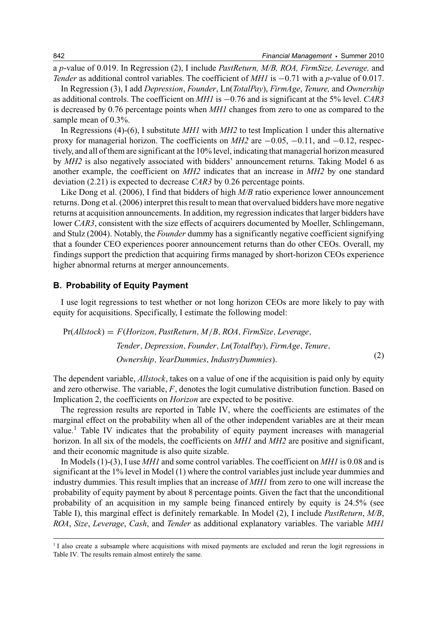a *p*-value of 0.019. In Regression (2), I include *PastReturn, M/B, ROA, FirmSize, Leverage,* and *Tender* as additional control variables. The coefficient of *MH1* is −0.71 with a *p*-value of 0.017.

In Regression (3), I add *Depression*, *Founder*, Ln(*TotalPay*), *FirmAge*, *Tenure,* and *Ownership* as additional controls. The coefficient on *MH1* is −0.76 and is significant at the 5% level. *CAR3* is decreased by 0.76 percentage points when *MH1* changes from zero to one as compared to the sample mean of 0.3%.

In Regressions (4)-(6), I substitute *MH1* with *MH2* to test Implication 1 under this alternative proxy for managerial horizon. The coefficients on  $MH2$  are  $-0.05$ ,  $-0.11$ , and  $-0.12$ , respectively, and all of them are significant at the 10% level, indicating that managerial horizon measured by *MH2* is also negatively associated with bidders' announcement returns. Taking Model 6 as another example, the coefficient on *MH2* indicates that an increase in *MH2* by one standard deviation (2.21) is expected to decrease *CAR3* by 0.26 percentage points.

Like Dong et al. (2006), I find that bidders of high *M/B* ratio experience lower announcement returns. Dong et al. (2006) interpret this result to mean that overvalued bidders have more negative returns at acquisition announcements. In addition, my regression indicates that larger bidders have lower *CAR3*, consistent with the size effects of acquirers documented by Moeller, Schlingemann, and Stulz (2004). Notably, the *Founder* dummy has a significantly negative coefficient signifying that a founder CEO experiences poorer announcement returns than do other CEOs. Overall, my findings support the prediction that acquiring firms managed by short-horizon CEOs experience higher abnormal returns at merger announcements.

#### **B. Probability of Equity Payment**

I use logit regressions to test whether or not long horizon CEOs are more likely to pay with equity for acquisitions. Specifically, I estimate the following model:

Pr(*Allstock*) = *F*(*Horizon*, *PastReturn*, *M*/*B*, *ROA*, *FirmSize*, *Leverage*, *Tender*, *Depression*, *Founder*, *Ln*(*TotalPay*), *FirmAge*, *Tenure*, *Ownership*, *YearDummies*,*IndustryDummies*). (2)

The dependent variable, *Allstock*, takes on a value of one if the acquisition is paid only by equity and zero otherwise. The variable, *F*, denotes the logit cumulative distribution function. Based on Implication 2, the coefficients on *Horizon* are expected to be positive.

The regression results are reported in Table IV, where the coefficients are estimates of the marginal effect on the probability when all of the other independent variables are at their mean value.<sup>1</sup> Table IV indicates that the probability of equity payment increases with managerial horizon. In all six of the models, the coefficients on *MH1* and *MH2* are positive and significant, and their economic magnitude is also quite sizable.

In Models (1)-(3), I use *MH1* and some control variables. The coefficient on *MH1* is 0.08 and is significant at the 1% level in Model (1) where the control variables just include year dummies and industry dummies. This result implies that an increase of *MH1* from zero to one will increase the probability of equity payment by about 8 percentage points. Given the fact that the unconditional probability of an acquisition in my sample being financed entirely by equity is 24.5% (see Table I), this marginal effect is definitely remarkable. In Model (2), I include *PastReturn*, *M/B*, *ROA*, *Size*, *Leverage*, *Cash*, and *Tender* as additional explanatory variables. The variable *MH1*

<sup>&</sup>lt;sup>1</sup> I also create a subsample where acquisitions with mixed payments are excluded and rerun the logit regressions in Table IV. The results remain almost entirely the same.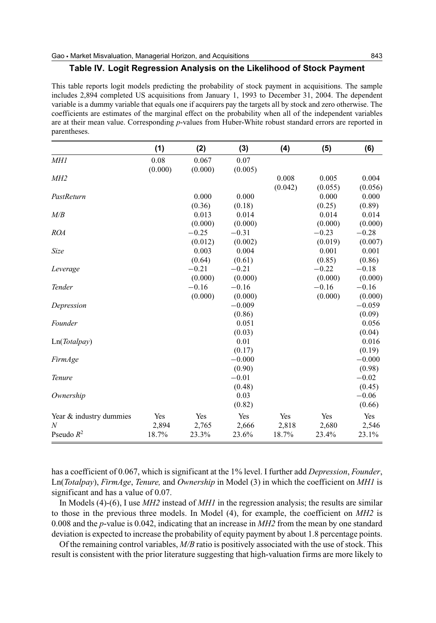#### **Table IV. Logit Regression Analysis on the Likelihood of Stock Payment**

This table reports logit models predicting the probability of stock payment in acquisitions. The sample includes 2,894 completed US acquisitions from January 1, 1993 to December 31, 2004. The dependent variable is a dummy variable that equals one if acquirers pay the targets all by stock and zero otherwise. The coefficients are estimates of the marginal effect on the probability when all of the independent variables are at their mean value. Corresponding *p*-values from Huber-White robust standard errors are reported in parentheses.

|                         | (1)     | (2)     | (3)      | (4)     | (5)     | (6)      |
|-------------------------|---------|---------|----------|---------|---------|----------|
| <i>MH1</i>              | 0.08    | 0.067   | 0.07     |         |         |          |
|                         | (0.000) | (0.000) | (0.005)  |         |         |          |
| M <sub>H2</sub>         |         |         |          | 0.008   | 0.005   | 0.004    |
|                         |         |         |          | (0.042) | (0.055) | (0.056)  |
| PastReturn              |         | 0.000   | 0.000    |         | 0.000   | 0.000    |
|                         |         | (0.36)  | (0.18)   |         | (0.25)  | (0.89)   |
| M/B                     |         | 0.013   | 0.014    |         | 0.014   | 0.014    |
|                         |         | (0.000) | (0.000)  |         | (0.000) | (0.000)  |
| <b>ROA</b>              |         | $-0.25$ | $-0.31$  |         | $-0.23$ | $-0.28$  |
|                         |         | (0.012) | (0.002)  |         | (0.019) | (0.007)  |
| Size                    |         | 0.003   | 0.004    |         | 0.001   | 0.001    |
|                         |         | (0.64)  | (0.61)   |         | (0.85)  | (0.86)   |
| Leverage                |         | $-0.21$ | $-0.21$  |         | $-0.22$ | $-0.18$  |
|                         |         | (0.000) | (0.000)  |         | (0.000) | (0.000)  |
| Tender                  |         | $-0.16$ | $-0.16$  |         | $-0.16$ | $-0.16$  |
|                         |         | (0.000) | (0.000)  |         | (0.000) | (0.000)  |
| Depression              |         |         | $-0.009$ |         |         | $-0.059$ |
|                         |         |         | (0.86)   |         |         | (0.09)   |
| Founder                 |         |         | 0.051    |         |         | 0.056    |
|                         |         |         | (0.03)   |         |         | (0.04)   |
| Ln(Totalpay)            |         |         | 0.01     |         |         | 0.016    |
|                         |         |         | (0.17)   |         |         | (0.19)   |
| FirmAge                 |         |         | $-0.000$ |         |         | $-0.000$ |
|                         |         |         | (0.90)   |         |         | (0.98)   |
| Tenure                  |         |         | $-0.01$  |         |         | $-0.02$  |
|                         |         |         | (0.48)   |         |         | (0.45)   |
| Ownership               |         |         | 0.03     |         |         | $-0.06$  |
|                         |         |         | (0.82)   |         |         | (0.66)   |
| Year & industry dummies | Yes     | Yes     | Yes      | Yes     | Yes     | Yes      |
| N                       | 2,894   | 2,765   | 2,666    | 2,818   | 2,680   | 2,546    |
| Pseudo $R^2$            | 18.7%   | 23.3%   | 23.6%    | 18.7%   | 23.4%   | 23.1%    |

has a coefficient of 0.067, which is significant at the 1% level. I further add *Depression*, *Founder*, Ln(*Totalpay*), *FirmAge*, *Tenure,* and *Ownership* in Model (3) in which the coefficient on *MH1* is significant and has a value of 0.07.

In Models (4)-(6), I use *MH2* instead of *MH1* in the regression analysis; the results are similar to those in the previous three models. In Model (4), for example, the coefficient on *MH2* is 0.008 and the *p*-value is 0.042, indicating that an increase in *MH2* from the mean by one standard deviation is expected to increase the probability of equity payment by about 1.8 percentage points.

Of the remaining control variables, *M/B* ratio is positively associated with the use of stock. This result is consistent with the prior literature suggesting that high-valuation firms are more likely to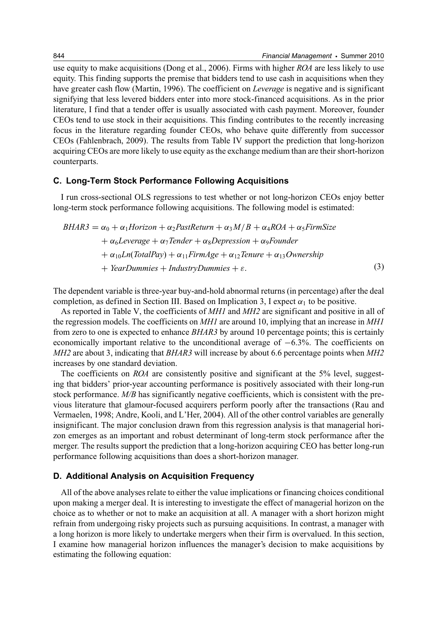use equity to make acquisitions (Dong et al., 2006). Firms with higher *ROA* are less likely to use equity. This finding supports the premise that bidders tend to use cash in acquisitions when they have greater cash flow (Martin, 1996). The coefficient on *Leverage* is negative and is significant signifying that less levered bidders enter into more stock-financed acquisitions. As in the prior literature, I find that a tender offer is usually associated with cash payment. Moreover, founder CEOs tend to use stock in their acquisitions. This finding contributes to the recently increasing focus in the literature regarding founder CEOs, who behave quite differently from successor CEOs (Fahlenbrach, 2009). The results from Table IV support the prediction that long-horizon acquiring CEOs are more likely to use equity as the exchange medium than are their short-horizon counterparts.

#### **C. Long-Term Stock Performance Following Acquisitions**

I run cross-sectional OLS regressions to test whether or not long-horizon CEOs enjoy better long-term stock performance following acquisitions. The following model is estimated:

$$
BHAR3 = \alpha_0 + \alpha_1 Horizon + \alpha_2 PastReturn + \alpha_3 M/B + \alpha_4 ROA + \alpha_5 FirmSize
$$
  
+  $\alpha_6 Leverage + \alpha_7 Tender + \alpha_8 Depression + \alpha_9 Founder$   
+  $\alpha_{10} Ln(TotalPay) + \alpha_{11} FirmAge + \alpha_{12} Tenure + \alpha_{13} Ownership$   
+ *YearDummies + IndustryDummies +*. (3)

The dependent variable is three-year buy-and-hold abnormal returns (in percentage) after the deal completion, as defined in Section III. Based on Implication 3, I expect  $\alpha_1$  to be positive.

As reported in Table V, the coefficients of *MH1* and *MH2* are significant and positive in all of the regression models. The coefficients on *MH1* are around 10, implying that an increase in *MH1* from zero to one is expected to enhance *BHAR3* by around 10 percentage points; this is certainly economically important relative to the unconditional average of  $-6.3\%$ . The coefficients on *MH2* are about 3, indicating that *BHAR3* will increase by about 6.6 percentage points when *MH2* increases by one standard deviation.

The coefficients on *ROA* are consistently positive and significant at the 5% level, suggesting that bidders' prior-year accounting performance is positively associated with their long-run stock performance. *M/B* has significantly negative coefficients, which is consistent with the previous literature that glamour-focused acquirers perform poorly after the transactions (Rau and Vermaelen, 1998; Andre, Kooli, and L'Her, 2004). All of the other control variables are generally insignificant. The major conclusion drawn from this regression analysis is that managerial horizon emerges as an important and robust determinant of long-term stock performance after the merger. The results support the prediction that a long-horizon acquiring CEO has better long-run performance following acquisitions than does a short-horizon manager.

#### **D. Additional Analysis on Acquisition Frequency**

All of the above analyses relate to either the value implications or financing choices conditional upon making a merger deal. It is interesting to investigate the effect of managerial horizon on the choice as to whether or not to make an acquisition at all. A manager with a short horizon might refrain from undergoing risky projects such as pursuing acquisitions. In contrast, a manager with a long horizon is more likely to undertake mergers when their firm is overvalued. In this section, I examine how managerial horizon influences the manager's decision to make acquisitions by estimating the following equation: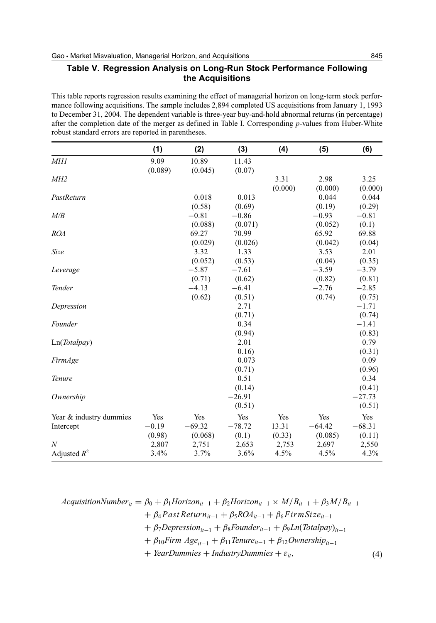### **Table V. Regression Analysis on Long-Run Stock Performance Following the Acquisitions**

This table reports regression results examining the effect of managerial horizon on long-term stock performance following acquisitions. The sample includes 2,894 completed US acquisitions from January 1, 1993 to December 31, 2004. The dependent variable is three-year buy-and-hold abnormal returns (in percentage) after the completion date of the merger as defined in Table I. Corresponding *p*-values from Huber-White robust standard errors are reported in parentheses.

|                         | (1)     | (2)      | (3)      | (4)     | (5)      | (6)      |
|-------------------------|---------|----------|----------|---------|----------|----------|
| <b>MH1</b>              | 9.09    | 10.89    | 11.43    |         |          |          |
|                         | (0.089) | (0.045)  | (0.07)   |         |          |          |
| MH <sub>2</sub>         |         |          |          | 3.31    | 2.98     | 3.25     |
|                         |         |          |          | (0.000) | (0.000)  | (0.000)  |
| PastReturn              |         | 0.018    | 0.013    |         | 0.044    | 0.044    |
|                         |         | (0.58)   | (0.69)   |         | (0.19)   | (0.29)   |
| M/B                     |         | $-0.81$  | $-0.86$  |         | $-0.93$  | $-0.81$  |
|                         |         | (0.088)  | (0.071)  |         | (0.052)  | (0.1)    |
| <b>ROA</b>              |         | 69.27    | 70.99    |         | 65.92    | 69.88    |
|                         |         | (0.029)  | (0.026)  |         | (0.042)  | (0.04)   |
| <b>Size</b>             |         | 3.32     | 1.33     |         | 3.53     | 2.01     |
|                         |         | (0.052)  | (0.53)   |         | (0.04)   | (0.35)   |
| Leverage                |         | $-5.87$  | $-7.61$  |         | $-3.59$  | $-3.79$  |
|                         |         | (0.71)   | (0.62)   |         | (0.82)   | (0.81)   |
| Tender                  |         | $-4.13$  | $-6.41$  |         | $-2.76$  | $-2.85$  |
|                         |         | (0.62)   | (0.51)   |         | (0.74)   | (0.75)   |
| Depression              |         |          | 2.71     |         |          | $-1.71$  |
|                         |         |          | (0.71)   |         |          | (0.74)   |
| Founder                 |         |          | 0.34     |         |          | $-1.41$  |
|                         |         |          | (0.94)   |         |          | (0.83)   |
| Ln(Totalpay)            |         |          | 2.01     |         |          | 0.79     |
|                         |         |          | 0.16)    |         |          | (0.31)   |
| FirmAge                 |         |          | 0.073    |         |          | 0.09     |
|                         |         |          | (0.71)   |         |          | (0.96)   |
| Tenure                  |         |          | 0.51     |         |          | 0.34     |
|                         |         |          | (0.14)   |         |          | (0.41)   |
| Ownership               |         |          | $-26.91$ |         |          | $-27.73$ |
|                         |         |          | (0.51)   |         |          | (0.51)   |
| Year & industry dummies | Yes     | Yes      | Yes      | Yes     | Yes      | Yes      |
| Intercept               | $-0.19$ | $-69.32$ | $-78.72$ | 13.31   | $-64.42$ | $-68.31$ |
|                         | (0.98)  | (0.068)  | (0.1)    | (0.33)  | (0.085)  | (0.11)   |
| $\overline{N}$          | 2,807   | 2,751    | 2,653    | 2,753   | 2,697    | 2,550    |
| Adjusted $R^2$          | 3.4%    | 3.7%     | 3.6%     | 4.5%    | 4.5%     | 4.3%     |

$$
AcquisitionNumber_{ii} = \beta_0 + \beta_1 Horizon_{ii-1} + \beta_2 Horizon_{ii-1} \times M/B_{ii-1} + \beta_3 M/B_{ii-1} + \beta_4 Past Return_{ii-1} + \beta_5 ROA_{ii-1} + \beta_6 Firm Size_{ii-1} + \beta_7 Depression_{ii-1} + \beta_8 Founder_{ii-1} + \beta_9 Ln(Totalpay)_{ii-1} + \beta_{10 Firm Age_{ii-1} + \beta_{11 Tenure_{ii-1} + \beta_{12} Ownership_{ii-1} + YearDummies + IndustryDummies + \varepsilon_{ii},
$$
 (4)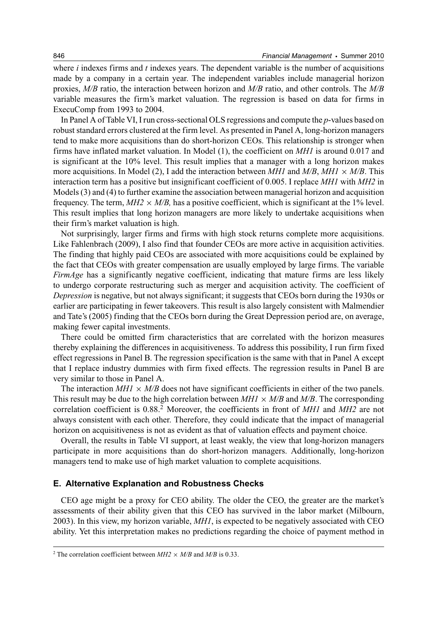where *i* indexes firms and *t* indexes years. The dependent variable is the number of acquisitions made by a company in a certain year. The independent variables include managerial horizon proxies, *M/B* ratio, the interaction between horizon and *M/B* ratio, and other controls. The *M/B* variable measures the firm's market valuation. The regression is based on data for firms in ExecuComp from 1993 to 2004.

In Panel A of Table VI, I run cross-sectional OLS regressions and compute the *p*-values based on robust standard errors clustered at the firm level. As presented in Panel A, long-horizon managers tend to make more acquisitions than do short-horizon CEOs. This relationship is stronger when firms have inflated market valuation. In Model (1), the coefficient on *MH1* is around 0.017 and is significant at the 10% level. This result implies that a manager with a long horizon makes more acquisitions. In Model (2), I add the interaction between  $MHI$  and  $M/B$ ,  $MHI \times M/B$ . This interaction term has a positive but insignificant coefficient of 0.005. I replace *MH1* with *MH2* in Models (3) and (4) to further examine the association between managerial horizon and acquisition frequency. The term,  $M H2 \times M/B$ , has a positive coefficient, which is significant at the 1% level. This result implies that long horizon managers are more likely to undertake acquisitions when their firm's market valuation is high.

Not surprisingly, larger firms and firms with high stock returns complete more acquisitions. Like Fahlenbrach (2009), I also find that founder CEOs are more active in acquisition activities. The finding that highly paid CEOs are associated with more acquisitions could be explained by the fact that CEOs with greater compensation are usually employed by large firms. The variable *FirmAge* has a significantly negative coefficient, indicating that mature firms are less likely to undergo corporate restructuring such as merger and acquisition activity. The coefficient of *Depression* is negative, but not always significant; it suggests that CEOs born during the 1930s or earlier are participating in fewer takeovers. This result is also largely consistent with Malmendier and Tate's (2005) finding that the CEOs born during the Great Depression period are, on average, making fewer capital investments.

There could be omitted firm characteristics that are correlated with the horizon measures thereby explaining the differences in acquisitiveness. To address this possibility, I run firm fixed effect regressions in Panel B. The regression specification is the same with that in Panel A except that I replace industry dummies with firm fixed effects. The regression results in Panel B are very similar to those in Panel A.

The interaction  $MHI \times M/B$  does not have significant coefficients in either of the two panels. This result may be due to the high correlation between  $MHI \times M/B$  and  $M/B$ . The corresponding correlation coefficient is 0.88.2 Moreover, the coefficients in front of *MH1* and *MH2* are not always consistent with each other. Therefore, they could indicate that the impact of managerial horizon on acquisitiveness is not as evident as that of valuation effects and payment choice.

Overall, the results in Table VI support, at least weakly, the view that long-horizon managers participate in more acquisitions than do short-horizon managers. Additionally, long-horizon managers tend to make use of high market valuation to complete acquisitions.

#### **E. Alternative Explanation and Robustness Checks**

CEO age might be a proxy for CEO ability. The older the CEO, the greater are the market's assessments of their ability given that this CEO has survived in the labor market (Milbourn, 2003). In this view, my horizon variable, *MH1*, is expected to be negatively associated with CEO ability. Yet this interpretation makes no predictions regarding the choice of payment method in

<sup>&</sup>lt;sup>2</sup> The correlation coefficient between  $MH2 \times M/B$  and  $M/B$  is 0.33.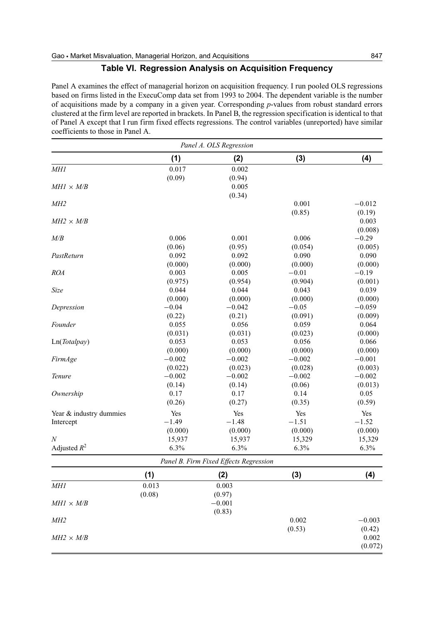#### **Table VI. Regression Analysis on Acquisition Frequency**

Panel A examines the effect of managerial horizon on acquisition frequency. I run pooled OLS regressions based on firms listed in the ExecuComp data set from 1993 to 2004. The dependent variable is the number of acquisitions made by a company in a given year. Corresponding *p*-values from robust standard errors clustered at the firm level are reported in brackets. In Panel B, the regression specification is identical to that of Panel A except that I run firm fixed effects regressions. The control variables (unreported) have similar coefficients to those in Panel A.

| Panel A. OLS Regression |          |                                        |          |                 |  |  |
|-------------------------|----------|----------------------------------------|----------|-----------------|--|--|
|                         | (1)      | (2)                                    | (3)      | (4)             |  |  |
| <b>MH1</b>              | 0.017    | 0.002                                  |          |                 |  |  |
|                         | (0.09)   | (0.94)                                 |          |                 |  |  |
| $MHI \times M/B$        |          | 0.005                                  |          |                 |  |  |
|                         |          | (0.34)                                 |          |                 |  |  |
| M <sub>H2</sub>         |          |                                        | 0.001    | $-0.012$        |  |  |
|                         |          |                                        | (0.85)   | (0.19)          |  |  |
| $MH2 \times M/B$        |          |                                        |          | 0.003           |  |  |
|                         |          |                                        |          | (0.008)         |  |  |
| M/B                     | 0.006    | 0.001                                  | 0.006    | $-0.29$         |  |  |
|                         | (0.06)   | (0.95)                                 | (0.054)  | (0.005)         |  |  |
| PastReturn              | 0.092    | 0.092                                  | 0.090    | 0.090           |  |  |
|                         | (0.000)  | (0.000)                                | (0.000)  | (0.000)         |  |  |
| <b>ROA</b>              | 0.003    | 0.005                                  | $-0.01$  | $-0.19$         |  |  |
|                         | (0.975)  | (0.954)                                | (0.904)  | (0.001)         |  |  |
| Size                    | 0.044    | 0.044                                  | 0.043    |                 |  |  |
|                         |          |                                        |          | 0.039           |  |  |
|                         | (0.000)  | (0.000)                                | (0.000)  | (0.000)         |  |  |
| Depression              | $-0.04$  | $-0.042$                               | $-0.05$  | $-0.059$        |  |  |
|                         | (0.22)   | (0.21)                                 | (0.091)  | (0.009)         |  |  |
| Founder                 | 0.055    | 0.056                                  | 0.059    | 0.064           |  |  |
|                         | (0.031)  | (0.031)                                | (0.023)  | (0.000)         |  |  |
| Ln(Totalpay)            | 0.053    | 0.053                                  | 0.056    | 0.066           |  |  |
|                         | (0.000)  | (0.000)                                | (0.000)  | (0.000)         |  |  |
| FirmAge                 | $-0.002$ | $-0.002$                               | $-0.002$ | $-0.001$        |  |  |
|                         | (0.022)  | (0.023)                                | (0.028)  | (0.003)         |  |  |
| Tenure                  | $-0.002$ | $-0.002$                               | $-0.002$ | $-0.002$        |  |  |
|                         | (0.14)   | (0.14)                                 | (0.06)   | (0.013)         |  |  |
| Ownership               | 0.17     | 0.17                                   | 0.14     | 0.05            |  |  |
|                         | (0.26)   | (0.27)                                 | (0.35)   | (0.59)          |  |  |
| Year & industry dummies | Yes      | Yes                                    | Yes      | Yes             |  |  |
| Intercept               | $-1.49$  | $-1.48$                                | $-1.51$  | $-1.52$         |  |  |
|                         | (0.000)  | (0.000)                                | (0.000)  | (0.000)         |  |  |
| N                       | 15,937   | 15,937                                 | 15,329   | 15,329          |  |  |
| Adjusted $R^2$          | 6.3%     | 6.3%                                   | 6.3%     | 6.3%            |  |  |
|                         |          | Panel B. Firm Fixed Effects Regression |          |                 |  |  |
|                         | (1)      | (2)                                    | (3)      | (4)             |  |  |
| <i>MH1</i>              | 0.013    | 0.003                                  |          |                 |  |  |
|                         | (0.08)   | (0.97)                                 |          |                 |  |  |
| $MHI \times M/B$        |          | $-0.001$                               |          |                 |  |  |
|                         |          | (0.83)                                 |          |                 |  |  |
| M <sub>H2</sub>         |          |                                        | 0.002    | $-0.003$        |  |  |
|                         |          |                                        | (0.53)   |                 |  |  |
| $MH2 \times M/B$        |          |                                        |          | (0.42)<br>0.002 |  |  |
|                         |          |                                        |          |                 |  |  |
|                         |          |                                        |          | (0.072)         |  |  |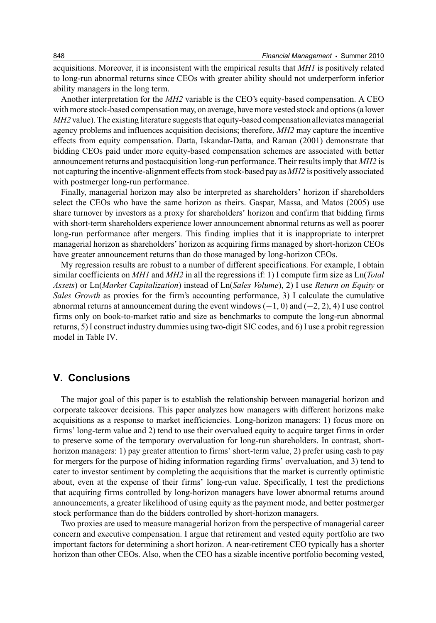acquisitions. Moreover, it is inconsistent with the empirical results that *MH1* is positively related to long-run abnormal returns since CEOs with greater ability should not underperform inferior ability managers in the long term.

Another interpretation for the *MH2* variable is the CEO's equity-based compensation. A CEO with more stock-based compensation may, on average, have more vested stock and options (a lower *MH2* value). The existing literature suggests that equity-based compensation alleviates managerial agency problems and influences acquisition decisions; therefore, *MH2* may capture the incentive effects from equity compensation. Datta, Iskandar-Datta, and Raman (2001) demonstrate that bidding CEOs paid under more equity-based compensation schemes are associated with better announcement returns and postacquisition long-run performance. Their results imply that *MH2* is not capturing the incentive-alignment effects from stock-based pay as *MH2* is positively associated with postmerger long-run performance.

Finally, managerial horizon may also be interpreted as shareholders' horizon if shareholders select the CEOs who have the same horizon as theirs. Gaspar, Massa, and Matos (2005) use share turnover by investors as a proxy for shareholders' horizon and confirm that bidding firms with short-term shareholders experience lower announcement abnormal returns as well as poorer long-run performance after mergers. This finding implies that it is inappropriate to interpret managerial horizon as shareholders' horizon as acquiring firms managed by short-horizon CEOs have greater announcement returns than do those managed by long-horizon CEOs.

My regression results are robust to a number of different specifications. For example, I obtain similar coefficients on *MH1* and *MH2* in all the regressions if: 1) I compute firm size as Ln(*Total Assets*) or Ln(*Market Capitalization*) instead of Ln(*Sales Volume*), 2) I use *Return on Equity* or *Sales Growth* as proxies for the firm's accounting performance, 3) I calculate the cumulative abnormal returns at announcement during the event windows  $(-1, 0)$  and  $(-2, 2)$ , 4) I use control firms only on book-to-market ratio and size as benchmarks to compute the long-run abnormal returns, 5) I construct industry dummies using two-digit SIC codes, and 6) I use a probit regression model in Table IV.

## **V. Conclusions**

The major goal of this paper is to establish the relationship between managerial horizon and corporate takeover decisions. This paper analyzes how managers with different horizons make acquisitions as a response to market inefficiencies. Long-horizon managers: 1) focus more on firms' long-term value and 2) tend to use their overvalued equity to acquire target firms in order to preserve some of the temporary overvaluation for long-run shareholders. In contrast, shorthorizon managers: 1) pay greater attention to firms' short-term value, 2) prefer using cash to pay for mergers for the purpose of hiding information regarding firms' overvaluation, and 3) tend to cater to investor sentiment by completing the acquisitions that the market is currently optimistic about, even at the expense of their firms' long-run value. Specifically, I test the predictions that acquiring firms controlled by long-horizon managers have lower abnormal returns around announcements, a greater likelihood of using equity as the payment mode, and better postmerger stock performance than do the bidders controlled by short-horizon managers.

Two proxies are used to measure managerial horizon from the perspective of managerial career concern and executive compensation. I argue that retirement and vested equity portfolio are two important factors for determining a short horizon. A near-retirement CEO typically has a shorter horizon than other CEOs. Also, when the CEO has a sizable incentive portfolio becoming vested,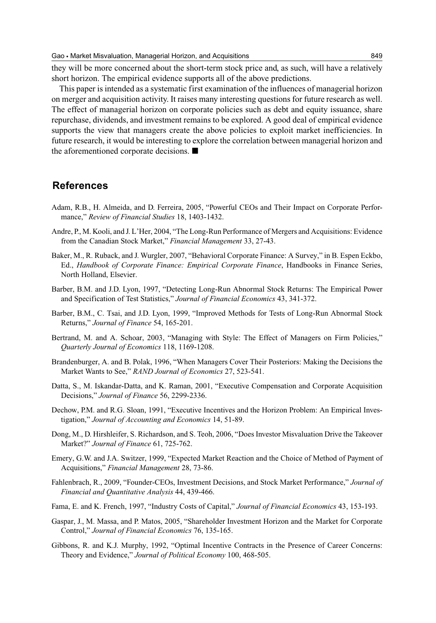they will be more concerned about the short-term stock price and, as such, will have a relatively short horizon. The empirical evidence supports all of the above predictions.

This paper is intended as a systematic first examination of the influences of managerial horizon on merger and acquisition activity. It raises many interesting questions for future research as well. The effect of managerial horizon on corporate policies such as debt and equity issuance, share repurchase, dividends, and investment remains to be explored. A good deal of empirical evidence supports the view that managers create the above policies to exploit market inefficiencies. In future research, it would be interesting to explore the correlation between managerial horizon and the aforementioned corporate decisions.  $\blacksquare$ 

## **References**

- Adam, R.B., H. Almeida, and D. Ferreira, 2005, "Powerful CEOs and Their Impact on Corporate Performance," *Review of Financial Studies* 18, 1403-1432.
- Andre, P., M. Kooli, and J. L'Her, 2004, "The Long-Run Performance of Mergers and Acquisitions: Evidence from the Canadian Stock Market," *Financial Management* 33, 27-43.
- Baker, M., R. Ruback, and J. Wurgler, 2007, "Behavioral Corporate Finance: A Survey," in B. Espen Eckbo, Ed., *Handbook of Corporate Finance: Empirical Corporate Finance*, Handbooks in Finance Series, North Holland, Elsevier.
- Barber, B.M. and J.D. Lyon, 1997, "Detecting Long-Run Abnormal Stock Returns: The Empirical Power and Specification of Test Statistics," *Journal of Financial Economics* 43, 341-372.
- Barber, B.M., C. Tsai, and J.D. Lyon, 1999, "Improved Methods for Tests of Long-Run Abnormal Stock Returns," *Journal of Finance* 54, 165-201.
- Bertrand, M. and A. Schoar, 2003, "Managing with Style: The Effect of Managers on Firm Policies," *Quarterly Journal of Economics* 118, 1169-1208.
- Brandenburger, A. and B. Polak, 1996, "When Managers Cover Their Posteriors: Making the Decisions the Market Wants to See," *RAND Journal of Economics* 27, 523-541.
- Datta, S., M. Iskandar-Datta, and K. Raman, 2001, "Executive Compensation and Corporate Acquisition Decisions," *Journal of Finance* 56, 2299-2336.
- Dechow, P.M. and R.G. Sloan, 1991, "Executive Incentives and the Horizon Problem: An Empirical Investigation," *Journal of Accounting and Economics* 14, 51-89.
- Dong, M., D. Hirshleifer, S. Richardson, and S. Teoh, 2006, "Does Investor Misvaluation Drive the Takeover Market?" *Journal of Finance* 61, 725-762.
- Emery, G.W. and J.A. Switzer, 1999, "Expected Market Reaction and the Choice of Method of Payment of Acquisitions," *Financial Management* 28, 73-86.
- Fahlenbrach, R., 2009, "Founder-CEOs, Investment Decisions, and Stock Market Performance," *Journal of Financial and Quantitative Analysis* 44, 439-466.
- Fama, E. and K. French, 1997, "Industry Costs of Capital," *Journal of Financial Economics* 43, 153-193.
- Gaspar, J., M. Massa, and P. Matos, 2005, "Shareholder Investment Horizon and the Market for Corporate Control," *Journal of Financial Economics* 76, 135-165.
- Gibbons, R. and K.J. Murphy, 1992, "Optimal Incentive Contracts in the Presence of Career Concerns: Theory and Evidence," *Journal of Political Economy* 100, 468-505.